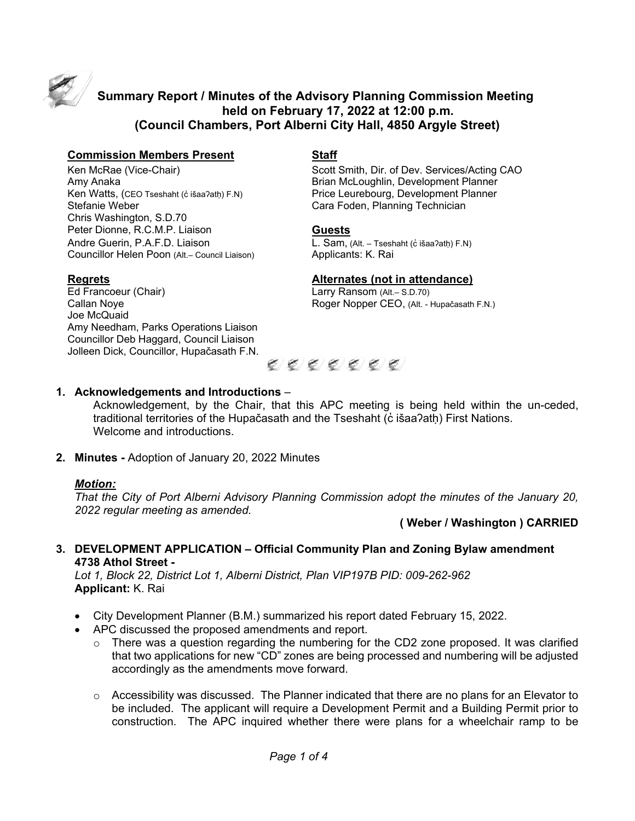

# **Summary Report / Minutes of the Advisory Planning Commission Meeting held on February 17, 2022 at 12:00 p.m. (Council Chambers, Port Alberni City Hall, 4850 Argyle Street)**

#### **Commission Members Present Staff**

Amy Anaka **Brian McLoughlin, Development Planner** Ken Watts, (CEO Tseshaht (c̓ išaaʔatḥ) F.N) Price Leurebourg, Development Planner<br>Stefanie Weber Cara Foden, Planning Technician Chris Washington, S.D.70 Peter Dionne, R.C.M.P. Liaison **Guests** Andre Guerin, P.A.F.D. Liaison L. Sam, (Alt. – Tseshaht (c̓ išaaʔath) F.N) Councillor Helen Poon (Alt.– Council Liaison) Applicants: K. Rai

Ed Francoeur (Chair) **Larry Ransom (Alt-S.D.70)** Callan Noye **Roger Nopper CEO, (Alt. - Hupačasath F.N.)** Roger Nopper CEO, (Alt. - Hupačasath F.N.) Joe McQuaid Amy Needham, Parks Operations Liaison Councillor Deb Haggard, Council Liaison Jolleen Dick, Councillor, Hupačasath F.N.

Ken McRae (Vice-Chair) Scott Smith, Dir. of Dev. Services/Acting CAO Cara Foden, Planning Technician

### **Regrets Alternates (not in attendance)**



### **1. Acknowledgements and Introductions** –

Acknowledgement, by the Chair, that this APC meeting is being held within the un-ceded, traditional territories of the Hupačasath and the Tseshaht (c̓ išaa?ath) First Nations. Welcome and introductions.

**2. Minutes -** Adoption of January 20, 2022 Minutes

### *Motion:*

*That the City of Port Alberni Advisory Planning Commission adopt the minutes of the January 20, 2022 regular meeting as amended.*

#### **( Weber / Washington ) CARRIED**

### **3. DEVELOPMENT APPLICATION – Official Community Plan and Zoning Bylaw amendment 4738 Athol Street -**

*Lot 1, Block 22, District Lot 1, Alberni District, Plan VIP197B PID: 009-262-962* **Applicant:** K. Rai

- City Development Planner (B.M.) summarized his report dated February 15, 2022.
- APC discussed the proposed amendments and report.
	- $\circ$  There was a question regarding the numbering for the CD2 zone proposed. It was clarified that two applications for new "CD" zones are being processed and numbering will be adjusted accordingly as the amendments move forward.
	- $\circ$  Accessibility was discussed. The Planner indicated that there are no plans for an Elevator to be included. The applicant will require a Development Permit and a Building Permit prior to construction. The APC inquired whether there were plans for a wheelchair ramp to be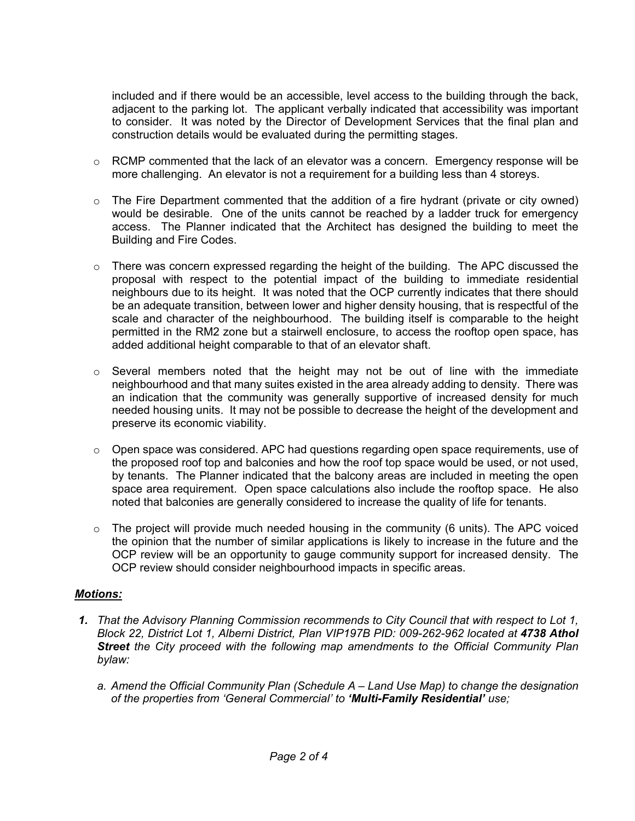included and if there would be an accessible, level access to the building through the back, adjacent to the parking lot. The applicant verbally indicated that accessibility was important to consider. It was noted by the Director of Development Services that the final plan and construction details would be evaluated during the permitting stages.

- $\circ$  RCMP commented that the lack of an elevator was a concern. Emergency response will be more challenging. An elevator is not a requirement for a building less than 4 storeys.
- $\circ$  The Fire Department commented that the addition of a fire hydrant (private or city owned) would be desirable. One of the units cannot be reached by a ladder truck for emergency access. The Planner indicated that the Architect has designed the building to meet the Building and Fire Codes.
- $\circ$  There was concern expressed regarding the height of the building. The APC discussed the proposal with respect to the potential impact of the building to immediate residential neighbours due to its height. It was noted that the OCP currently indicates that there should be an adequate transition, between lower and higher density housing, that is respectful of the scale and character of the neighbourhood. The building itself is comparable to the height permitted in the RM2 zone but a stairwell enclosure, to access the rooftop open space, has added additional height comparable to that of an elevator shaft.
- $\circ$  Several members noted that the height may not be out of line with the immediate neighbourhood and that many suites existed in the area already adding to density. There was an indication that the community was generally supportive of increased density for much needed housing units. It may not be possible to decrease the height of the development and preserve its economic viability.
- $\circ$  Open space was considered. APC had questions regarding open space requirements, use of the proposed roof top and balconies and how the roof top space would be used, or not used, by tenants. The Planner indicated that the balcony areas are included in meeting the open space area requirement. Open space calculations also include the rooftop space. He also noted that balconies are generally considered to increase the quality of life for tenants.
- $\circ$  The project will provide much needed housing in the community (6 units). The APC voiced the opinion that the number of similar applications is likely to increase in the future and the OCP review will be an opportunity to gauge community support for increased density. The OCP review should consider neighbourhood impacts in specific areas.

### *Motions:*

- *1. That the Advisory Planning Commission recommends to City Council that with respect to Lot 1,*  Block 22, District Lot 1, Alberni District, Plan VIP197B PID: 009-262-962 located at 4738 Athol *Street the City proceed with the following map amendments to the Official Community Plan bylaw:*
	- *a. Amend the Official Community Plan (Schedule A – Land Use Map) to change the designation of the properties from 'General Commercial' to 'Multi-Family Residential' use;*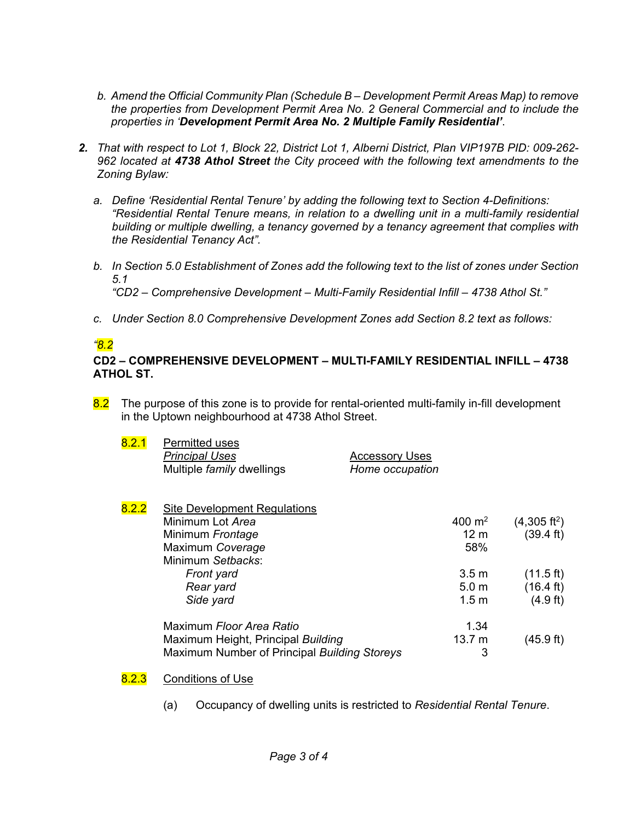- *b. Amend the Official Community Plan (Schedule B – Development Permit Areas Map) to remove the properties from Development Permit Area No. 2 General Commercial and to include the properties in 'Development Permit Area No. 2 Multiple Family Residential'*.
- *2. That with respect to Lot 1, Block 22, District Lot 1, Alberni District, Plan VIP197B PID: 009-262- 962 located at 4738 Athol Street the City proceed with the following text amendments to the Zoning Bylaw:*
	- *a. Define 'Residential Rental Tenure' by adding the following text to Section 4-Definitions: "Residential Rental Tenure means, in relation to a dwelling unit in a multi-family residential building or multiple dwelling, a tenancy governed by a tenancy agreement that complies with the Residential Tenancy Act".*
	- *b. In Section 5.0 Establishment of Zones add the following text to the list of zones under Section 5.1*

*"CD2 – Comprehensive Development – Multi-Family Residential Infill – 4738 Athol St."*

*c. Under Section 8.0 Comprehensive Development Zones add Section 8.2 text as follows:*

# *"8.2*

#### **CD2 – COMPREHENSIVE DEVELOPMENT – MULTI-FAMILY RESIDENTIAL INFILL – 4738 ATHOL ST.**

8.2 The purpose of this zone is to provide for rental-oriented multi-family in-fill development in the Uptown neighbourhood at 4738 Athol Street.

| 8.2.1 | Permitted uses                   |                 |
|-------|----------------------------------|-----------------|
|       | <b>Principal Uses</b>            | Accessory Uses  |
|       | Multiple <i>family</i> dwellings | Home occupation |

| 8.2.2 | <b>Site Development Regulations</b>          |                  |                        |
|-------|----------------------------------------------|------------------|------------------------|
|       | Minimum Lot Area                             | 400 $m2$         | $(4,305 \text{ ft}^2)$ |
|       | Minimum Frontage                             | 12 <sub>m</sub>  | $(39.4 \text{ ft})$    |
|       | Maximum Coverage                             | 58%              |                        |
|       | Minimum Setbacks:                            |                  |                        |
|       | Front yard                                   | 3.5 <sub>m</sub> | $(11.5 \text{ ft})$    |
|       | Rear yard                                    | 5.0 <sub>m</sub> | $(16.4 \text{ ft})$    |
|       | Side yard                                    | 1.5 <sub>m</sub> | $(4.9 \text{ ft})$     |
|       | Maximum Floor Area Ratio                     | 1.34             |                        |
|       | Maximum Height, Principal Building           | 13.7 m           | (45.9 ft)              |
|       | Maximum Number of Principal Building Storeys |                  |                        |

### 8.2.3 Conditions of Use

(a) Occupancy of dwelling units is restricted to *Residential Rental Tenure*.